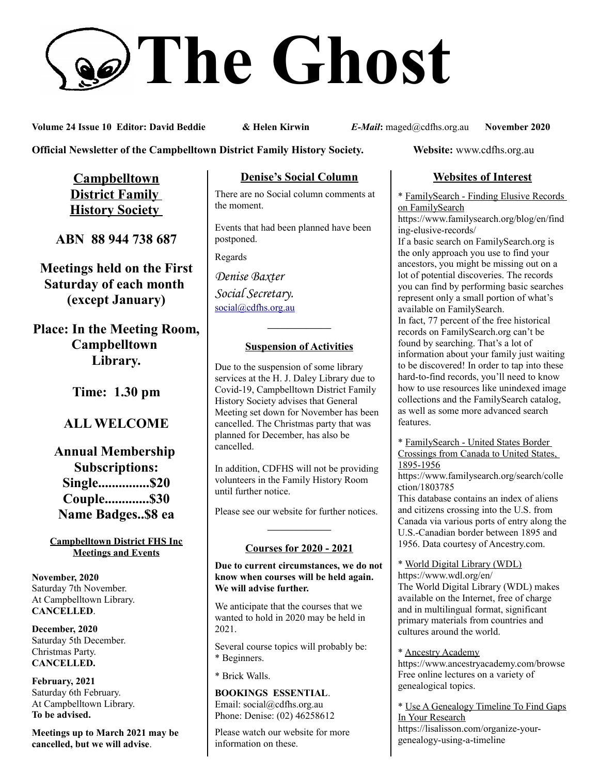# **The Ghost**

**Volume 24 Issue 10 Editor: David Beddie & Helen Kirwin** *E-Mail***:** maged@cdfhs.org.au **November 2020**

**Official Newsletter of the Campbelltown District Family History Society. Website: www.cdfhs.org.au** 

**Campbelltown District Family History Society** 

**ABN 88 944 738 687**

**Meetings held on the First Saturday of each month (except January)**

**Place: In the Meeting Room, Campbelltown Library.**

**Time: 1.30 pm**

# **ALL WELCOME**

**Annual Membership Subscriptions: Single...............\$20 Couple.............\$30 Name Badges..\$8 ea**

#### **Campbelltown District FHS Inc Meetings and Events**

**November, 2020** Saturday 7th November. At Campbelltown Library. **CANCELLED**.

**December, 2020** Saturday 5th December. Christmas Party. **CANCELLED.**

**February, 2021** Saturday 6th February. At Campbelltown Library. **To be advised.**

**Meetings up to March 2021 may be cancelled, but we will advise**.

### **Denise's Social Column**

There are no Social column comments at the moment.

Events that had been planned have been postponed.

Regards

*Denise Baxter Social Secretary.* [social@cdfhs.org.au](mailto:social@cdfhs.org.au)

## **——————– Suspension of Activities**

Due to the suspension of some library services at the H. J. Daley Library due to Covid-19, Campbelltown District Family History Society advises that General Meeting set down for November has been cancelled. The Christmas party that was planned for December, has also be cancelled.

In addition, CDFHS will not be providing volunteers in the Family History Room until further notice.

Please see our website for further notices.

## **——————– Courses for 2020 - 2021**

**Due to current circumstances, we do not know when courses will be held again. We will advise further.**

We anticipate that the courses that we wanted to hold in 2020 may be held in 2021.

Several course topics will probably be: \* Beginners.

\* Brick Walls.

#### **BOOKINGS ESSENTIAL**. Email: social@cdfhs.org.au Phone: Denise: (02) 46258612

Please watch our website for more information on these.

#### **Websites of Interest**

\* FamilySearch - Finding Elusive Records on FamilySearch

https://www.familysearch.org/blog/en/find ing-elusive-records/

If a basic search on FamilySearch.org is the only approach you use to find your ancestors, you might be missing out on a lot of potential discoveries. The records you can find by performing basic searches represent only a small portion of what's available on FamilySearch.

In fact, 77 percent of the free historical records on FamilySearch.org can't be found by searching. That's a lot of information about your family just waiting to be discovered! In order to tap into these hard-to-find records, you'll need to know how to use resources like unindexed image collections and the FamilySearch catalog, as well as some more advanced search features.

\* FamilySearch - United States Border Crossings from Canada to United States, 1895-1956

https://www.familysearch.org/search/colle ction/1803785

This database contains an index of aliens and citizens crossing into the U.S. from Canada via various ports of entry along the U.S.-Canadian border between 1895 and 1956. Data courtesy of Ancestry.com.

\* World Digital Library (WDL) https://www.wdl.org/en/

The World Digital Library (WDL) makes available on the Internet, free of charge and in multilingual format, significant primary materials from countries and cultures around the world.

\* Ancestry Academy https://www.ancestryacademy.com/browse Free online lectures on a variety of

genealogical topics.

\* Use A Genealogy Timeline To Find Gaps In Your Research https://lisalisson.com/organize-yourgenealogy-using-a-timeline